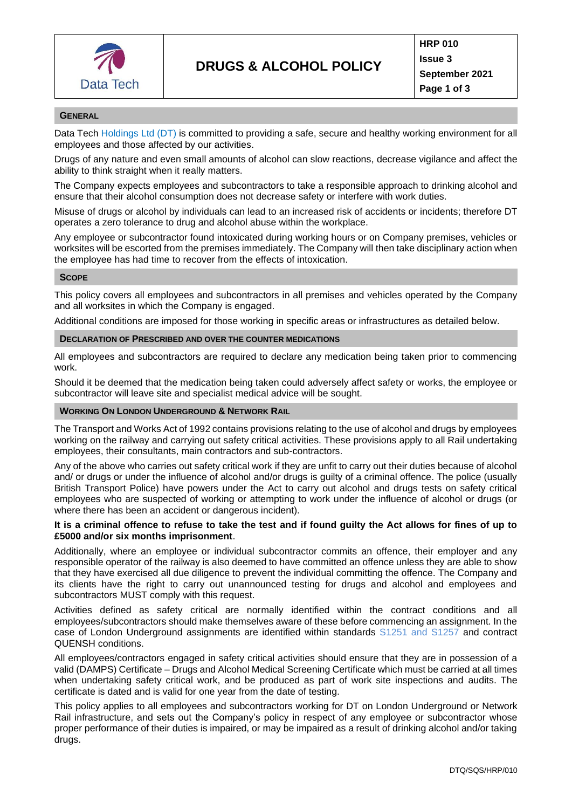

#### **GENERAL**

Data Tech Holdings Ltd (DT) is committed to providing a safe, secure and healthy working environment for all employees and those affected by our activities.

Drugs of any nature and even small amounts of alcohol can slow reactions, decrease vigilance and affect the ability to think straight when it really matters.

The Company expects employees and subcontractors to take a responsible approach to drinking alcohol and ensure that their alcohol consumption does not decrease safety or interfere with work duties.

Misuse of drugs or alcohol by individuals can lead to an increased risk of accidents or incidents; therefore DT operates a zero tolerance to drug and alcohol abuse within the workplace.

Any employee or subcontractor found intoxicated during working hours or on Company premises, vehicles or worksites will be escorted from the premises immediately. The Company will then take disciplinary action when the employee has had time to recover from the effects of intoxication.

#### **SCOPE**

This policy covers all employees and subcontractors in all premises and vehicles operated by the Company and all worksites in which the Company is engaged.

Additional conditions are imposed for those working in specific areas or infrastructures as detailed below.

#### **DECLARATION OF PRESCRIBED AND OVER THE COUNTER MEDICATIONS**

All employees and subcontractors are required to declare any medication being taken prior to commencing work.

Should it be deemed that the medication being taken could adversely affect safety or works, the employee or subcontractor will leave site and specialist medical advice will be sought.

## **WORKING ON LONDON UNDERGROUND & NETWORK RAIL**

The Transport and Works Act of 1992 contains provisions relating to the use of alcohol and drugs by employees working on the railway and carrying out safety critical activities. These provisions apply to all Rail undertaking employees, their consultants, main contractors and sub-contractors.

Any of the above who carries out safety critical work if they are unfit to carry out their duties because of alcohol and/ or drugs or under the influence of alcohol and/or drugs is guilty of a criminal offence. The police (usually British Transport Police) have powers under the Act to carry out alcohol and drugs tests on safety critical employees who are suspected of working or attempting to work under the influence of alcohol or drugs (or where there has been an accident or dangerous incident).

## **It is a criminal offence to refuse to take the test and if found guilty the Act allows for fines of up to £5000 and/or six months imprisonment**.

Additionally, where an employee or individual subcontractor commits an offence, their employer and any responsible operator of the railway is also deemed to have committed an offence unless they are able to show that they have exercised all due diligence to prevent the individual committing the offence. The Company and its clients have the right to carry out unannounced testing for drugs and alcohol and employees and subcontractors MUST comply with this request.

Activities defined as safety critical are normally identified within the contract conditions and all employees/subcontractors should make themselves aware of these before commencing an assignment. In the case of London Underground assignments are identified within standards S1251 and S1257 and contract QUENSH conditions.

All employees/contractors engaged in safety critical activities should ensure that they are in possession of a valid (DAMPS) Certificate – Drugs and Alcohol Medical Screening Certificate which must be carried at all times when undertaking safety critical work, and be produced as part of work site inspections and audits. The certificate is dated and is valid for one year from the date of testing.

This policy applies to all employees and subcontractors working for DT on London Underground or Network Rail infrastructure, and sets out the Company's policy in respect of any employee or subcontractor whose proper performance of their duties is impaired, or may be impaired as a result of drinking alcohol and/or taking drugs.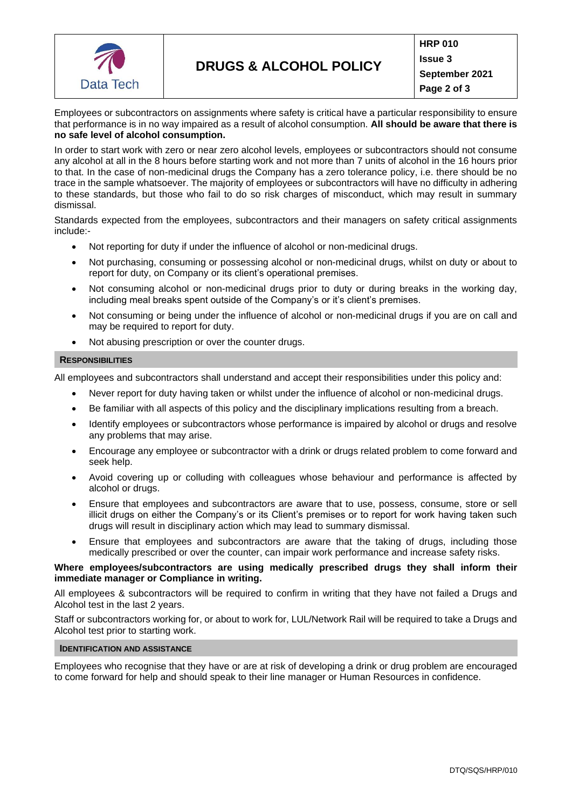

Employees or subcontractors on assignments where safety is critical have a particular responsibility to ensure that performance is in no way impaired as a result of alcohol consumption. **All should be aware that there is no safe level of alcohol consumption.**

In order to start work with zero or near zero alcohol levels, employees or subcontractors should not consume any alcohol at all in the 8 hours before starting work and not more than 7 units of alcohol in the 16 hours prior to that. In the case of non-medicinal drugs the Company has a zero tolerance policy, i.e. there should be no trace in the sample whatsoever. The majority of employees or subcontractors will have no difficulty in adhering to these standards, but those who fail to do so risk charges of misconduct, which may result in summary dismissal.

Standards expected from the employees, subcontractors and their managers on safety critical assignments include:-

- Not reporting for duty if under the influence of alcohol or non-medicinal drugs.
- Not purchasing, consuming or possessing alcohol or non-medicinal drugs, whilst on duty or about to report for duty, on Company or its client's operational premises.
- Not consuming alcohol or non-medicinal drugs prior to duty or during breaks in the working day, including meal breaks spent outside of the Company's or it's client's premises.
- Not consuming or being under the influence of alcohol or non-medicinal drugs if you are on call and may be required to report for duty.
- Not abusing prescription or over the counter drugs.

## **RESPONSIBILITIES**

All employees and subcontractors shall understand and accept their responsibilities under this policy and:

- Never report for duty having taken or whilst under the influence of alcohol or non-medicinal drugs.
- Be familiar with all aspects of this policy and the disciplinary implications resulting from a breach.
- Identify employees or subcontractors whose performance is impaired by alcohol or drugs and resolve any problems that may arise.
- Encourage any employee or subcontractor with a drink or drugs related problem to come forward and seek help.
- Avoid covering up or colluding with colleagues whose behaviour and performance is affected by alcohol or drugs.
- Ensure that employees and subcontractors are aware that to use, possess, consume, store or sell illicit drugs on either the Company's or its Client's premises or to report for work having taken such drugs will result in disciplinary action which may lead to summary dismissal.
- Ensure that employees and subcontractors are aware that the taking of drugs, including those medically prescribed or over the counter, can impair work performance and increase safety risks.

## **Where employees/subcontractors are using medically prescribed drugs they shall inform their immediate manager or Compliance in writing.**

All employees & subcontractors will be required to confirm in writing that they have not failed a Drugs and Alcohol test in the last 2 years.

Staff or subcontractors working for, or about to work for, LUL/Network Rail will be required to take a Drugs and Alcohol test prior to starting work.

# **IDENTIFICATION AND ASSISTANCE**

Employees who recognise that they have or are at risk of developing a drink or drug problem are encouraged to come forward for help and should speak to their line manager or Human Resources in confidence.